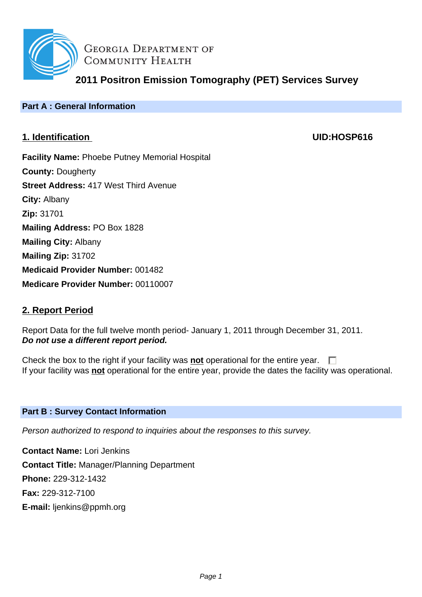

**GEORGIA DEPARTMENT OF** COMMUNITY HEALTH

**2011 Positron Emission Tomography (PET) Services Survey**

# **Part A : General Information**

# **1. Identification UID:HOSP616**

**Facility Name:** Phoebe Putney Memorial Hospital **County:** Dougherty **Street Address:** 417 West Third Avenue **City:** Albany **Zip:** 31701 **Mailing Address:** PO Box 1828 **Mailing City:** Albany **Mailing Zip:** 31702 **Medicaid Provider Number:** 001482 **Medicare Provider Number:** 00110007

# **2. Report Period**

Report Data for the full twelve month period- January 1, 2011 through December 31, 2011. **Do not use a different report period.**

Check the box to the right if your facility was **not** operational for the entire year.  $\Box$ If your facility was **not** operational for the entire year, provide the dates the facility was operational.

## **Part B : Survey Contact Information**

Person authorized to respond to inquiries about the responses to this survey.

**Contact Name:** Lori Jenkins **Contact Title:** Manager/Planning Department **Phone:** 229-312-1432 **Fax:** 229-312-7100 **E-mail:** ljenkins@ppmh.org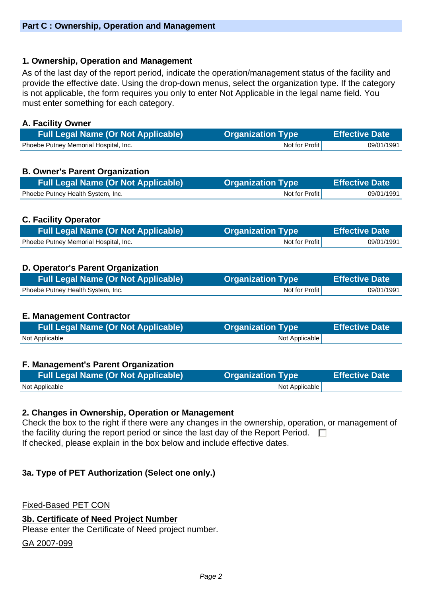## **1. Ownership, Operation and Management**

As of the last day of the report period, indicate the operation/management status of the facility and provide the effective date. Using the drop-down menus, select the organization type. If the category is not applicable, the form requires you only to enter Not Applicable in the legal name field. You must enter something for each category.

#### **A. Facility Owner**

| <b>Full Legal Name (Or Not Applicable)</b>   | <b>Organization Type</b> | Effective Date |
|----------------------------------------------|--------------------------|----------------|
| <b>Phoebe Putney Memorial Hospital, Inc.</b> | Not for Profit           | 09/01/1991     |

## **B. Owner's Parent Organization**

| <b>Full Legal Name (Or Not Applicable)</b> | <b>Organization Type</b> | <b>Effective Date</b> |
|--------------------------------------------|--------------------------|-----------------------|
| Phoebe Putney Health System, Inc.          | Not for Profit           | 09/01/1991            |

## **C. Facility Operator**

| <b>Full Legal Name (Or Not Applicable)</b> | <b>Organization Type</b> | <b>Effective Date</b> |
|--------------------------------------------|--------------------------|-----------------------|
| Phoebe Putney Memorial Hospital, Inc.      | Not for Profit           | 09/01/1991            |

## **D. Operator's Parent Organization**

| <b>Full Legal Name (Or Not Applicable)</b> | <b>Organization Type</b> | <b>Effective Date</b> |
|--------------------------------------------|--------------------------|-----------------------|
| Phoebe Putney Health System, Inc.          | Not for Profit           | 09/01/1991            |

#### **E. Management Contractor**

| <b>Full Legal Name (Or Not Applicable)</b> | <b>Organization Type</b> | Effective Date |
|--------------------------------------------|--------------------------|----------------|
| Not Applicable                             | Not Applicable           |                |

#### **F. Management's Parent Organization**

| <b>Full Legal Name (Or Not Applicable)</b> | <b>Organization Type</b> | <b>Effective Date</b> |
|--------------------------------------------|--------------------------|-----------------------|
| Not Applicable                             | Not Applicable           |                       |

#### **2. Changes in Ownership, Operation or Management**

Check the box to the right if there were any changes in the ownership, operation, or management of the facility during the report period or since the last day of the Report Period.  $\Box$ If checked, please explain in the box below and include effective dates.

#### **3a. Type of PET Authorization (Select one only.)**

Fixed-Based PET CON

#### **3b. Certificate of Need Project Number**

Please enter the Certificate of Need project number.

GA 2007-099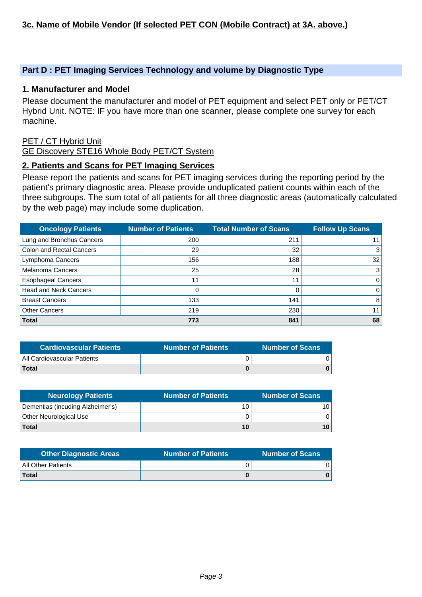#### **Part D : PET Imaging Services Technology and volume by Diagnostic Type**

#### **1. Manufacturer and Model**

Please document the manufacturer and model of PET equipment and select PET only or PET/CT Hybrid Unit. NOTE: IF you have more than one scanner, please complete one survey for each machine.

#### PET / CT Hybrid Unit

GE Discovery STE16 Whole Body PET/CT System

#### **2. Patients and Scans for PET Imaging Services**

Please report the patients and scans for PET imaging services during the reporting period by the patient's primary diagnostic area. Please provide unduplicated patient counts within each of the three subgroups. The sum total of all patients for all three diagnostic areas (automatically calculated by the web page) may include some duplication.

| <b>Oncology Patients</b>        | <b>Number of Patients</b> | <b>Total Number of Scans</b> | <b>Follow Up Scans</b> |
|---------------------------------|---------------------------|------------------------------|------------------------|
| Lung and Bronchus Cancers       | 200                       | 211                          | 11                     |
| <b>Colon and Rectal Cancers</b> | 29                        | 32                           | $\lceil 3 \rceil$      |
| Lymphoma Cancers                | 156                       | 188                          | 32                     |
| <b>Melanoma Cancers</b>         | 25                        | 28                           | $\overline{3}$         |
| <b>Esophageal Cancers</b>       | 11                        | 11                           | $\overline{0}$         |
| <b>Head and Neck Cancers</b>    | 0                         |                              | $\Omega$               |
| <b>Breast Cancers</b>           | 133                       | 141                          | 8                      |
| <b>Other Cancers</b>            | 219                       | 230                          | 11                     |
| <b>Total</b>                    | 773                       | 841                          | 68                     |

| ا Cardiovascular Patients   | <b>Number of Patients</b> | Number of Scans |
|-----------------------------|---------------------------|-----------------|
| All Cardiovascular Patients |                           |                 |
| <b>Total</b>                |                           |                 |

| <b>Neurology Patients</b>        | <b>Number of Patients</b> | Number of Scans |
|----------------------------------|---------------------------|-----------------|
| Dementias (incuding Alzheimer's) | 10                        | 10 l            |
| Other Neurological Use           |                           |                 |
| <b>Total</b>                     | 10                        | 10 <sup>7</sup> |

| <b>Other Diagnostic Areas</b> | <b>Number of Patients</b> | <b>Number of Scans</b> |
|-------------------------------|---------------------------|------------------------|
| All Other Patients            |                           |                        |
| Total                         |                           |                        |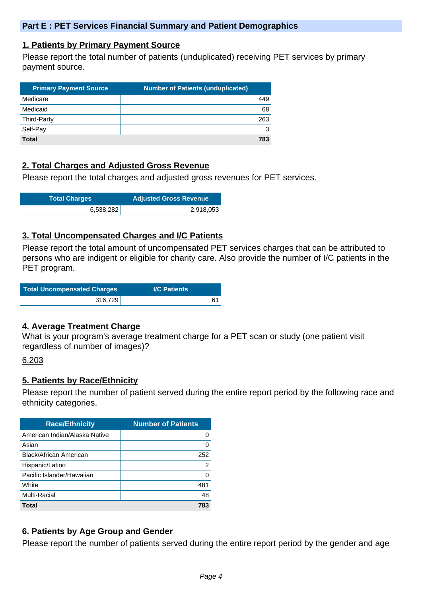#### **1. Patients by Primary Payment Source**

Please report the total number of patients (unduplicated) receiving PET services by primary payment source.

| <b>Primary Payment Source</b> | <b>Number of Patients (unduplicated)</b> |
|-------------------------------|------------------------------------------|
| Medicare                      | 449                                      |
| Medicaid                      | 68                                       |
| Third-Party                   | 263                                      |
| Self-Pay                      | 3                                        |
| <b>Total</b>                  | 783                                      |

## **2. Total Charges and Adjusted Gross Revenue**

Please report the total charges and adjusted gross revenues for PET services.

| <b>Total Charges</b> | <b>Adjusted Gross Revenue</b> |
|----------------------|-------------------------------|
| 6,538,282            | 2,918,053                     |

#### **3. Total Uncompensated Charges and I/C Patients**

Please report the total amount of uncompensated PET services charges that can be attributed to persons who are indigent or eligible for charity care. Also provide the number of I/C patients in the PET program.

| <b>Total Uncompensated Charges</b> | <b>I/C Patients</b> |  |
|------------------------------------|---------------------|--|
| 316,729                            | . 6                 |  |

#### **4. Average Treatment Charge**

What is your program's average treatment charge for a PET scan or study (one patient visit regardless of number of images)?

#### 6,203

#### **5. Patients by Race/Ethnicity**

Please report the number of patient served during the entire report period by the following race and ethnicity categories.

| <b>Race/Ethnicity</b>         | <b>Number of Patients</b> |
|-------------------------------|---------------------------|
| American Indian/Alaska Native | 0                         |
| Asian                         | O                         |
| Black/African American        | 252                       |
| Hispanic/Latino               | 2                         |
| Pacific Islander/Hawaiian     | O                         |
| White                         | 481                       |
| <b>Multi-Racial</b>           | 48                        |
| Total                         | 783                       |

#### **6. Patients by Age Group and Gender**

Please report the number of patients served during the entire report period by the gender and age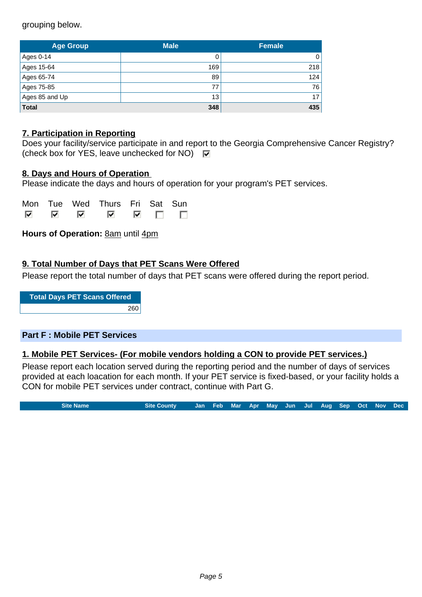grouping below.

| <b>Age Group</b> | <b>Male</b> | <b>Female</b>   |  |
|------------------|-------------|-----------------|--|
| Ages 0-14        |             | 0               |  |
| Ages 15-64       | 169         | 218             |  |
| Ages 65-74       | 89          | 124             |  |
| Ages 75-85       | 77          | 76              |  |
| Ages 85 and Up   | 13          | 17 <sub>1</sub> |  |
| <b>Total</b>     | 348         | 435             |  |

#### **7. Participation in Reporting**

|                                                                     | Does your facility/service participate in and report to the Georgia Comprehensive Cancer Registry? |
|---------------------------------------------------------------------|----------------------------------------------------------------------------------------------------|
| (check box for YES, leave unchecked for NO) $\overline{\mathbf{v}}$ |                                                                                                    |

#### **8. Days and Hours of Operation**

Please indicate the days and hours of operation for your program's PET services.

|  | Mon Tue Wed Thurs Fri Sat Sun |  |  |
|--|-------------------------------|--|--|
|  |                               |  |  |

**Hours of Operation:** 8am until 4pm

#### **9. Total Number of Days that PET Scans Were Offered**

Please report the total number of days that PET scans were offered during the report period.

**Total Days PET Scans Offered** 260

#### **Part F : Mobile PET Services**

#### **1. Mobile PET Services- (For mobile vendors holding a CON to provide PET services.)**

Please report each location served during the reporting period and the number of days of services provided at each loacation for each month. If your PET service is fixed-based, or your facility holds a CON for mobile PET services under contract, continue with Part G.

**Site Name Site County Jan Feb Mar Apr May Jun Jul Aug Sep Oct Nov Dec**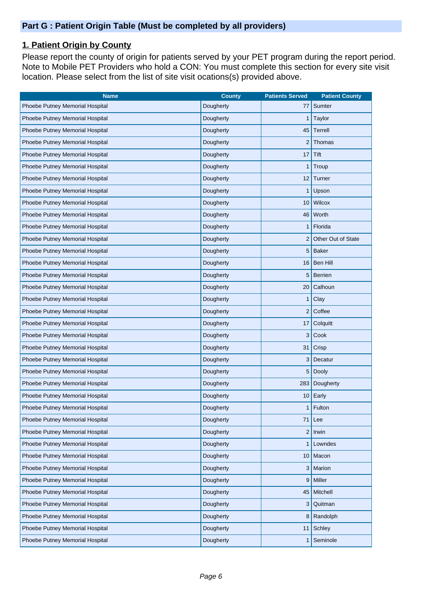# **1. Patient Origin by County**

Please report the county of origin for patients served by your PET program during the report period. Note to Mobile PET Providers who hold a CON: You must complete this section for every site visit location. Please select from the list of site visit ocations(s) provided above.

| <b>Name</b>                     | <b>County</b> | <b>Patients Served</b>  | <b>Patient County</b> |
|---------------------------------|---------------|-------------------------|-----------------------|
| Phoebe Putney Memorial Hospital | Dougherty     | 77                      | Sumter                |
| Phoebe Putney Memorial Hospital | Dougherty     | 1                       | Taylor                |
| Phoebe Putney Memorial Hospital | Dougherty     | 45                      | <b>Terrell</b>        |
| Phoebe Putney Memorial Hospital | Dougherty     | 2                       | Thomas                |
| Phoebe Putney Memorial Hospital | Dougherty     | 17                      | Tift                  |
| Phoebe Putney Memorial Hospital | Dougherty     | 1                       | Troup                 |
| Phoebe Putney Memorial Hospital | Dougherty     | 12                      | Turner                |
| Phoebe Putney Memorial Hospital | Dougherty     | 1                       | Upson                 |
| Phoebe Putney Memorial Hospital | Dougherty     | 10                      | Wilcox                |
| Phoebe Putney Memorial Hospital | Dougherty     | 46                      | Worth                 |
| Phoebe Putney Memorial Hospital | Dougherty     | 1                       | Florida               |
| Phoebe Putney Memorial Hospital | Dougherty     |                         | Other Out of State    |
| Phoebe Putney Memorial Hospital | Dougherty     | 5                       | <b>Baker</b>          |
| Phoebe Putney Memorial Hospital | Dougherty     | 16                      | <b>Ben Hill</b>       |
| Phoebe Putney Memorial Hospital | Dougherty     | 5                       | Berrien               |
| Phoebe Putney Memorial Hospital | Dougherty     | 20                      | Calhoun               |
| Phoebe Putney Memorial Hospital | Dougherty     | 1                       | Clay                  |
| Phoebe Putney Memorial Hospital | Dougherty     | 2                       | Coffee                |
| Phoebe Putney Memorial Hospital | Dougherty     | 17                      | Colquitt              |
| Phoebe Putney Memorial Hospital | Dougherty     | 3                       | Cook                  |
| Phoebe Putney Memorial Hospital | Dougherty     | 31                      | Crisp                 |
| Phoebe Putney Memorial Hospital | Dougherty     | 3                       | Decatur               |
| Phoebe Putney Memorial Hospital | Dougherty     | 5                       | Dooly                 |
| Phoebe Putney Memorial Hospital | Dougherty     | 283                     | Dougherty             |
| Phoebe Putney Memorial Hospital | Dougherty     | 10                      | Early                 |
| Phoebe Putney Memorial Hospital | Dougherty     | 1                       | Fulton                |
| Phoebe Putney Memorial Hospital | Dougherty     | 71                      | Lee                   |
| Phoebe Putney Memorial Hospital | Dougherty     | $\overline{\mathbf{c}}$ | Irwin                 |
| Phoebe Putney Memorial Hospital | Dougherty     | 1                       | Lowndes               |
| Phoebe Putney Memorial Hospital | Dougherty     | 10                      | Macon                 |
| Phoebe Putney Memorial Hospital | Dougherty     | 3                       | Marion                |
| Phoebe Putney Memorial Hospital | Dougherty     | 9                       | Miller                |
| Phoebe Putney Memorial Hospital | Dougherty     | 45                      | Mitchell              |
| Phoebe Putney Memorial Hospital | Dougherty     | 3                       | Quitman               |
| Phoebe Putney Memorial Hospital | Dougherty     | 8                       | Randolph              |
| Phoebe Putney Memorial Hospital | Dougherty     | 11                      | Schley                |
| Phoebe Putney Memorial Hospital | Dougherty     |                         | Seminole              |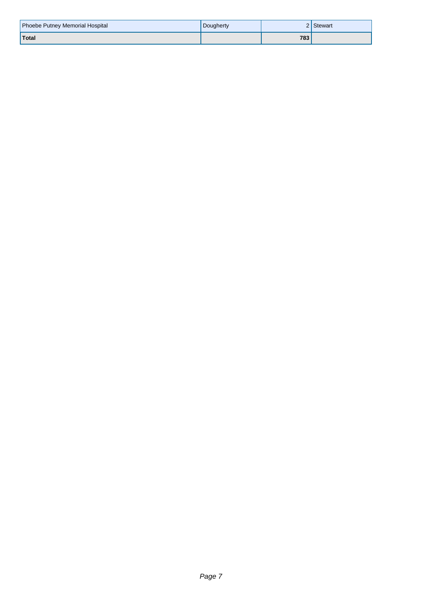| Phoebe Putney Memorial Hospital | Dougherty |     | 2   Stewart |
|---------------------------------|-----------|-----|-------------|
| Total                           |           | 783 |             |